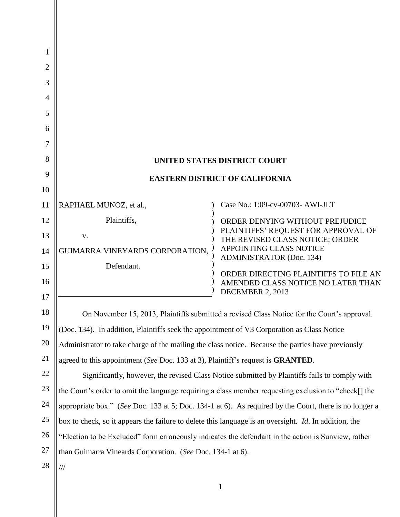| 1<br>2<br>3<br>4<br>5<br>6<br>7<br>8 |                                                                                                        | UNITED STATES DISTRICT COURT                                                |  |
|--------------------------------------|--------------------------------------------------------------------------------------------------------|-----------------------------------------------------------------------------|--|
| 9                                    |                                                                                                        |                                                                             |  |
| 10                                   | <b>EASTERN DISTRICT OF CALIFORNIA</b>                                                                  |                                                                             |  |
| 11                                   | RAPHAEL MUNOZ, et al.,                                                                                 | Case No.: 1:09-cv-00703- AWI-JLT                                            |  |
| 12                                   | Plaintiffs,                                                                                            | ORDER DENYING WITHOUT PREJUDICE                                             |  |
| 13                                   | V.                                                                                                     | PLAINTIFFS' REQUEST FOR APPROVAL OF<br>THE REVISED CLASS NOTICE; ORDER      |  |
| 14                                   | GUIMARRA VINEYARDS CORPORATION,                                                                        | <b>APPOINTING CLASS NOTICE</b><br><b>ADMINISTRATOR (Doc. 134)</b>           |  |
| 15                                   | Defendant.                                                                                             |                                                                             |  |
| 16                                   |                                                                                                        | ORDER DIRECTING PLAINTIFFS TO FILE AN<br>AMENDED CLASS NOTICE NO LATER THAN |  |
| 17                                   |                                                                                                        | DECEMBER 2, 2013                                                            |  |
| 18                                   | On November 15, 2013, Plaintiffs submitted a revised Class Notice for the Court's approval.            |                                                                             |  |
| 19                                   | (Doc. 134). In addition, Plaintiffs seek the appointment of V3 Corporation as Class Notice             |                                                                             |  |
| 20                                   | Administrator to take charge of the mailing the class notice. Because the parties have previously      |                                                                             |  |
| 21                                   | agreed to this appointment (See Doc. 133 at 3), Plaintiff's request is <b>GRANTED</b> .                |                                                                             |  |
| 22                                   | Significantly, however, the revised Class Notice submitted by Plaintiffs fails to comply with          |                                                                             |  |
| 23                                   | the Court's order to omit the language requiring a class member requesting exclusion to "check[] the   |                                                                             |  |
| 24                                   | appropriate box." (See Doc. 133 at 5; Doc. 134-1 at 6). As required by the Court, there is no longer a |                                                                             |  |
| 25                                   | box to check, so it appears the failure to delete this language is an oversight. Id. In addition, the  |                                                                             |  |
| 26                                   | "Election to be Excluded" form erroneously indicates the defendant in the action is Sunview, rather    |                                                                             |  |
| 27                                   | than Guimarra Vineards Corporation. (See Doc. 134-1 at 6).                                             |                                                                             |  |
| 28                                   | $\frac{1}{1}$                                                                                          |                                                                             |  |
|                                      |                                                                                                        |                                                                             |  |